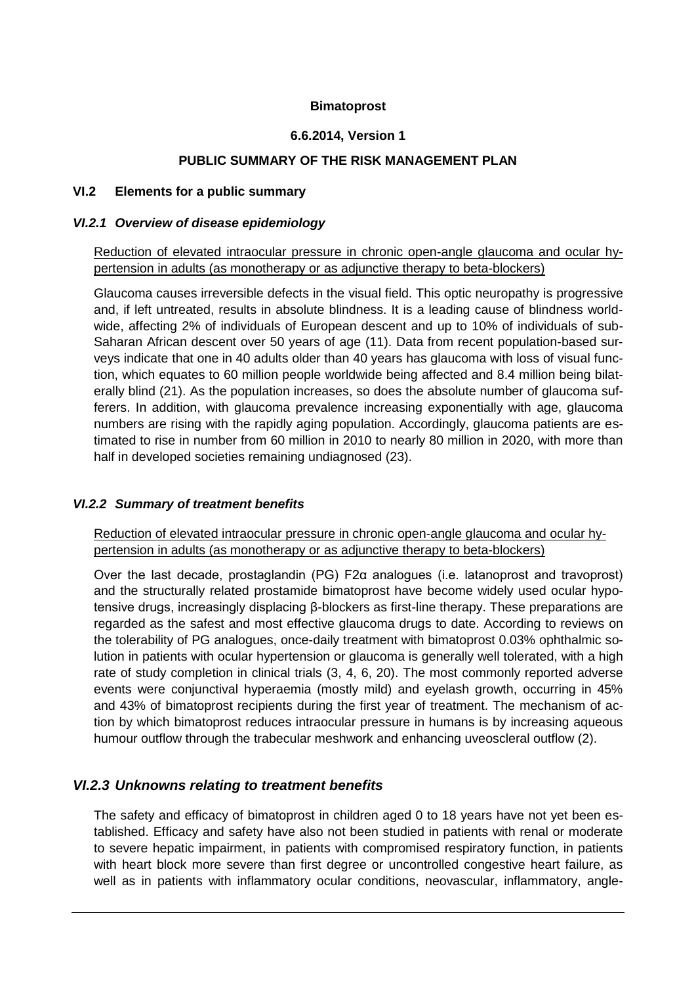#### **Bimatoprost**

#### **6.6.2014, Version 1**

#### **PUBLIC SUMMARY OF THE RISK MANAGEMENT PLAN**

#### **VI.2 Elements for a public summary**

#### *VI.2.1 Overview of disease epidemiology*

Reduction of elevated intraocular pressure in chronic open-angle glaucoma and ocular hypertension in adults (as monotherapy or as adjunctive therapy to beta-blockers)

Glaucoma causes irreversible defects in the visual field. This optic neuropathy is progressive and, if left untreated, results in absolute blindness. It is a leading cause of blindness worldwide, affecting 2% of individuals of European descent and up to 10% of individuals of sub-Saharan African descent over 50 years of age (11). Data from recent population-based surveys indicate that one in 40 adults older than 40 years has glaucoma with loss of visual function, which equates to 60 million people worldwide being affected and 8.4 million being bilaterally blind (21). As the population increases, so does the absolute number of glaucoma sufferers. In addition, with glaucoma prevalence increasing exponentially with age, glaucoma numbers are rising with the rapidly aging population. Accordingly, glaucoma patients are estimated to rise in number from 60 million in 2010 to nearly 80 million in 2020, with more than half in developed societies remaining undiagnosed (23).

#### *VI.2.2 Summary of treatment benefits*

Reduction of elevated intraocular pressure in chronic open-angle glaucoma and ocular hypertension in adults (as monotherapy or as adjunctive therapy to beta-blockers)

Over the last decade, prostaglandin (PG)  $F2α$  analogues (i.e. latanoprost and travoprost) and the structurally related prostamide bimatoprost have become widely used ocular hypotensive drugs, increasingly displacing β-blockers as first-line therapy. These preparations are regarded as the safest and most effective glaucoma drugs to date. According to reviews on the tolerability of PG analogues, once-daily treatment with bimatoprost 0.03% ophthalmic solution in patients with ocular hypertension or glaucoma is generally well tolerated, with a high rate of study completion in clinical trials (3, 4, 6, 20). The most commonly reported adverse events were conjunctival hyperaemia (mostly mild) and eyelash growth, occurring in 45% and 43% of bimatoprost recipients during the first year of treatment. The mechanism of action by which bimatoprost reduces intraocular pressure in humans is by increasing aqueous humour outflow through the trabecular meshwork and enhancing uveoscleral outflow (2).

### *VI.2.3 Unknowns relating to treatment benefits*

The safety and efficacy of bimatoprost in children aged 0 to 18 years have not yet been established. Efficacy and safety have also not been studied in patients with renal or moderate to severe hepatic impairment, in patients with compromised respiratory function, in patients with heart block more severe than first degree or uncontrolled congestive heart failure, as well as in patients with inflammatory ocular conditions, neovascular, inflammatory, angle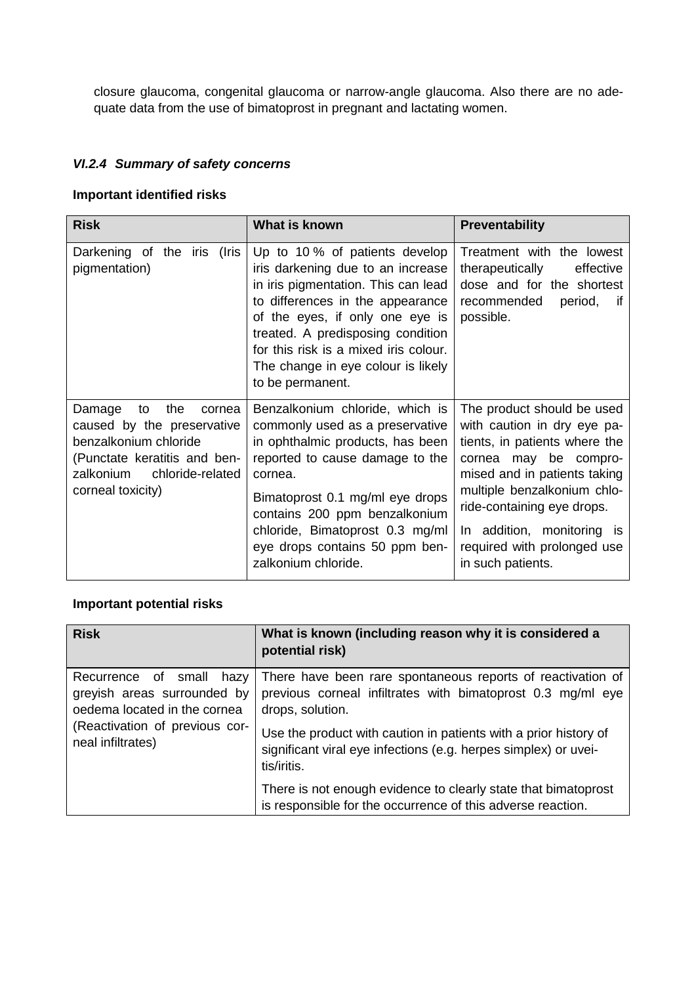closure glaucoma, congenital glaucoma or narrow-angle glaucoma. Also there are no adequate data from the use of bimatoprost in pregnant and lactating women.

## *VI.2.4 Summary of safety concerns*

#### **Important identified risks**

| <b>Risk</b>                                                                                                                                                                | What is known                                                                                                                                                                                                                                                                                                             | <b>Preventability</b>                                                                                                                                                                                                                                                                              |
|----------------------------------------------------------------------------------------------------------------------------------------------------------------------------|---------------------------------------------------------------------------------------------------------------------------------------------------------------------------------------------------------------------------------------------------------------------------------------------------------------------------|----------------------------------------------------------------------------------------------------------------------------------------------------------------------------------------------------------------------------------------------------------------------------------------------------|
| Darkening of the iris (Iris<br>pigmentation)                                                                                                                               | Up to 10 % of patients develop<br>iris darkening due to an increase<br>in iris pigmentation. This can lead<br>to differences in the appearance<br>of the eyes, if only one eye is<br>treated. A predisposing condition<br>for this risk is a mixed iris colour.<br>The change in eye colour is likely<br>to be permanent. | Treatment with the lowest<br>therapeutically<br>effective<br>dose and for the shortest<br>recommended<br>period,<br>if.<br>possible.                                                                                                                                                               |
| the<br>Damage<br>to<br>cornea<br>caused by the preservative<br>benzalkonium chloride<br>(Punctate keratitis and ben-<br>zalkonium<br>chloride-related<br>corneal toxicity) | Benzalkonium chloride, which is<br>commonly used as a preservative<br>in ophthalmic products, has been<br>reported to cause damage to the<br>cornea.<br>Bimatoprost 0.1 mg/ml eye drops<br>contains 200 ppm benzalkonium<br>chloride, Bimatoprost 0.3 mg/ml<br>eye drops contains 50 ppm ben-<br>zalkonium chloride.      | The product should be used<br>with caution in dry eye pa-<br>tients, in patients where the<br>cornea may be compro-<br>mised and in patients taking<br>multiple benzalkonium chlo-<br>ride-containing eye drops.<br>In addition, monitoring is<br>required with prolonged use<br>in such patients. |

### **Important potential risks**

| <b>Risk</b>                                                                                                                                       | What is known (including reason why it is considered a<br>potential risk)                                                                          |
|---------------------------------------------------------------------------------------------------------------------------------------------------|----------------------------------------------------------------------------------------------------------------------------------------------------|
| Recurrence of small<br>hazy<br>greyish areas surrounded by<br>oedema located in the cornea<br>(Reactivation of previous cor-<br>neal infiltrates) | There have been rare spontaneous reports of reactivation of<br>previous corneal infiltrates with bimatoprost 0.3 mg/ml eye<br>drops, solution.     |
|                                                                                                                                                   | Use the product with caution in patients with a prior history of<br>significant viral eye infections (e.g. herpes simplex) or uvei-<br>tis/iritis. |
|                                                                                                                                                   | There is not enough evidence to clearly state that bimatoprost<br>is responsible for the occurrence of this adverse reaction.                      |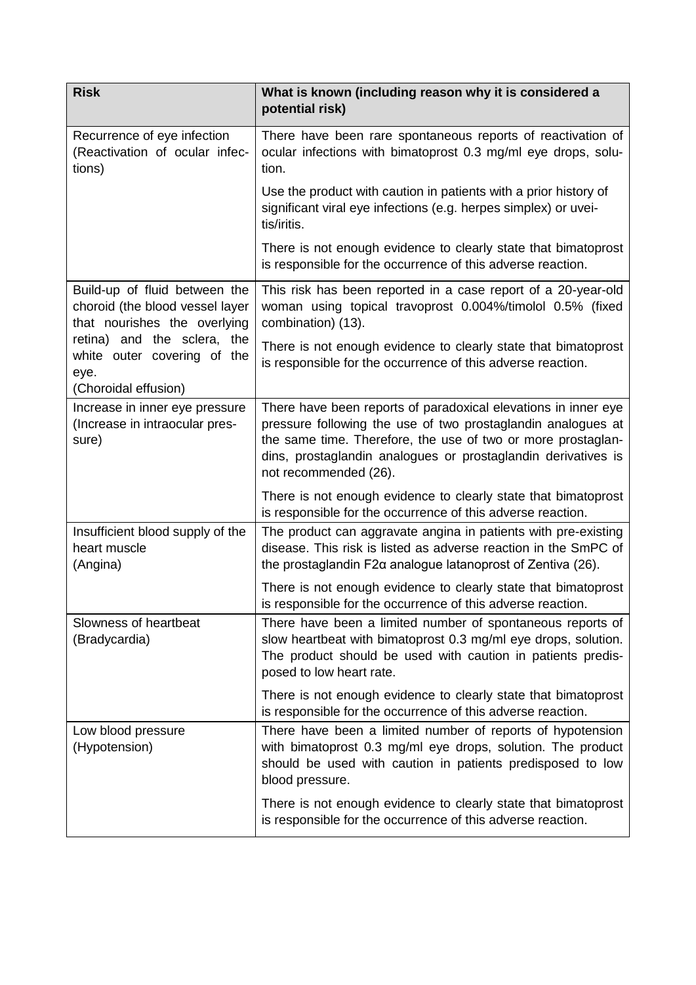| <b>Risk</b>                                                                                      | What is known (including reason why it is considered a<br>potential risk)                                                                                                                                               |
|--------------------------------------------------------------------------------------------------|-------------------------------------------------------------------------------------------------------------------------------------------------------------------------------------------------------------------------|
| Recurrence of eye infection<br>(Reactivation of ocular infec-<br>tions)                          | There have been rare spontaneous reports of reactivation of<br>ocular infections with bimatoprost 0.3 mg/ml eye drops, solu-<br>tion.                                                                                   |
|                                                                                                  | Use the product with caution in patients with a prior history of<br>significant viral eye infections (e.g. herpes simplex) or uvei-<br>tis/iritis.                                                                      |
|                                                                                                  | There is not enough evidence to clearly state that bimatoprost<br>is responsible for the occurrence of this adverse reaction.                                                                                           |
| Build-up of fluid between the<br>choroid (the blood vessel layer<br>that nourishes the overlying | This risk has been reported in a case report of a 20-year-old<br>woman using topical travoprost 0.004%/timolol 0.5% (fixed<br>combination) (13).                                                                        |
| retina) and the sclera, the<br>white outer covering of the<br>eye.                               | There is not enough evidence to clearly state that bimatoprost<br>is responsible for the occurrence of this adverse reaction.                                                                                           |
| (Choroidal effusion)<br>Increase in inner eye pressure                                           | There have been reports of paradoxical elevations in inner eye                                                                                                                                                          |
| (Increase in intraocular pres-<br>sure)                                                          | pressure following the use of two prostaglandin analogues at<br>the same time. Therefore, the use of two or more prostaglan-<br>dins, prostaglandin analogues or prostaglandin derivatives is<br>not recommended (26).  |
|                                                                                                  | There is not enough evidence to clearly state that bimatoprost<br>is responsible for the occurrence of this adverse reaction.                                                                                           |
| Insufficient blood supply of the<br>heart muscle<br>(Angina)                                     | The product can aggravate angina in patients with pre-existing<br>disease. This risk is listed as adverse reaction in the SmPC of<br>the prostaglandin F2α analogue latanoprost of Zentiva (26).                        |
|                                                                                                  | There is not enough evidence to clearly state that bimatoprost<br>is responsible for the occurrence of this adverse reaction.                                                                                           |
| Slowness of heartbeat<br>(Bradycardia)                                                           | There have been a limited number of spontaneous reports of<br>slow heartbeat with bimatoprost 0.3 mg/ml eye drops, solution.<br>The product should be used with caution in patients predis-<br>posed to low heart rate. |
|                                                                                                  | There is not enough evidence to clearly state that bimatoprost<br>is responsible for the occurrence of this adverse reaction.                                                                                           |
| Low blood pressure<br>(Hypotension)                                                              | There have been a limited number of reports of hypotension<br>with bimatoprost 0.3 mg/ml eye drops, solution. The product<br>should be used with caution in patients predisposed to low<br>blood pressure.              |
|                                                                                                  | There is not enough evidence to clearly state that bimatoprost<br>is responsible for the occurrence of this adverse reaction.                                                                                           |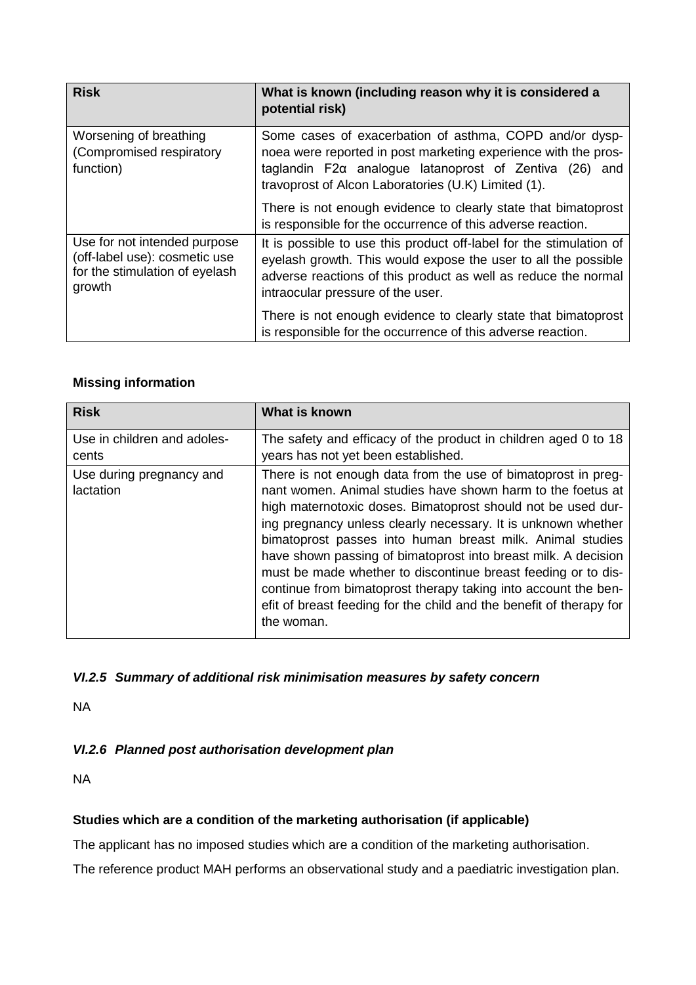| <b>Risk</b>                                                                                               | What is known (including reason why it is considered a<br>potential risk)                                                                                                                                                                         |
|-----------------------------------------------------------------------------------------------------------|---------------------------------------------------------------------------------------------------------------------------------------------------------------------------------------------------------------------------------------------------|
| Worsening of breathing<br>(Compromised respiratory<br>function)                                           | Some cases of exacerbation of asthma, COPD and/or dysp-<br>noea were reported in post marketing experience with the pros-<br>taglandin $F2\alpha$ analogue latanoprost of Zentiva (26) and<br>travoprost of Alcon Laboratories (U.K) Limited (1). |
|                                                                                                           | There is not enough evidence to clearly state that bimatoprost<br>is responsible for the occurrence of this adverse reaction.                                                                                                                     |
| Use for not intended purpose<br>(off-label use): cosmetic use<br>for the stimulation of eyelash<br>growth | It is possible to use this product off-label for the stimulation of<br>eyelash growth. This would expose the user to all the possible<br>adverse reactions of this product as well as reduce the normal<br>intraocular pressure of the user.      |
|                                                                                                           | There is not enough evidence to clearly state that bimatoprost<br>is responsible for the occurrence of this adverse reaction.                                                                                                                     |

### **Missing information**

| <b>Risk</b>                           | What is known                                                                                                                                                                                                                                                                                                                                                                                                                                                                                                                                                                                                        |
|---------------------------------------|----------------------------------------------------------------------------------------------------------------------------------------------------------------------------------------------------------------------------------------------------------------------------------------------------------------------------------------------------------------------------------------------------------------------------------------------------------------------------------------------------------------------------------------------------------------------------------------------------------------------|
| Use in children and adoles-<br>cents  | The safety and efficacy of the product in children aged 0 to 18<br>years has not yet been established.                                                                                                                                                                                                                                                                                                                                                                                                                                                                                                               |
| Use during pregnancy and<br>lactation | There is not enough data from the use of bimatoprost in preg-<br>nant women. Animal studies have shown harm to the foetus at<br>high maternotoxic doses. Bimatoprost should not be used dur-<br>ing pregnancy unless clearly necessary. It is unknown whether<br>bimatoprost passes into human breast milk. Animal studies<br>have shown passing of bimatoprost into breast milk. A decision<br>must be made whether to discontinue breast feeding or to dis-<br>continue from bimatoprost therapy taking into account the ben-<br>efit of breast feeding for the child and the benefit of therapy for<br>the woman. |

# *VI.2.5 Summary of additional risk minimisation measures by safety concern*

NA

# *VI.2.6 Planned post authorisation development plan*

NA

### **Studies which are a condition of the marketing authorisation (if applicable)**

The applicant has no imposed studies which are a condition of the marketing authorisation.

The reference product MAH performs an observational study and a paediatric investigation plan.